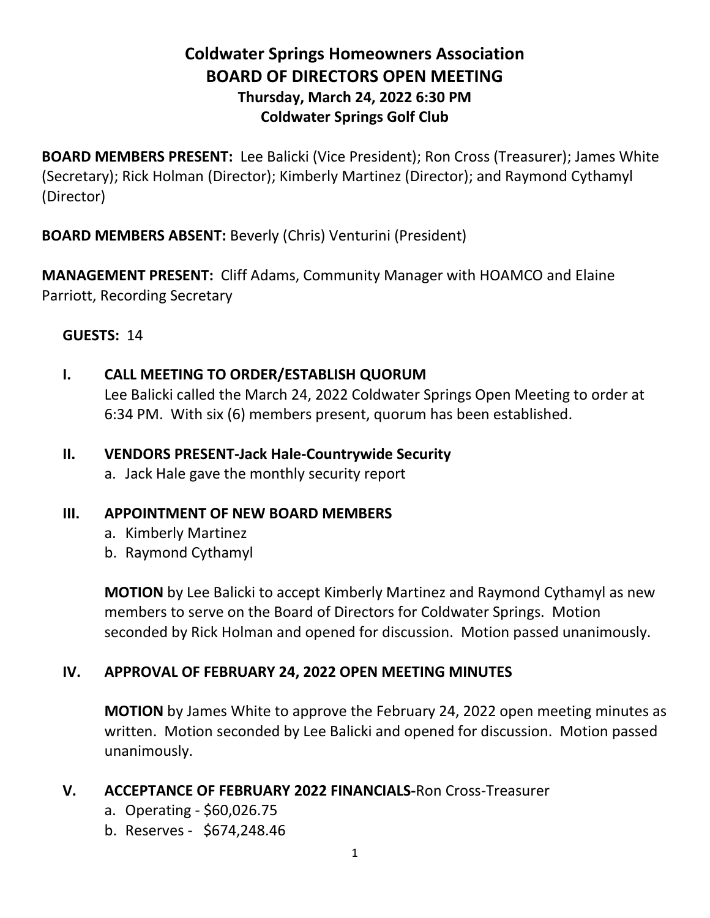# **Coldwater Springs Homeowners Association BOARD OF DIRECTORS OPEN MEETING Thursday, March 24, 2022 6:30 PM Coldwater Springs Golf Club**

**BOARD MEMBERS PRESENT:** Lee Balicki (Vice President); Ron Cross (Treasurer); James White (Secretary); Rick Holman (Director); Kimberly Martinez (Director); and Raymond Cythamyl (Director)

**BOARD MEMBERS ABSENT:** Beverly (Chris) Venturini (President)

**MANAGEMENT PRESENT:** Cliff Adams, Community Manager with HOAMCO and Elaine Parriott, Recording Secretary

## **GUESTS:** 14

**I. CALL MEETING TO ORDER/ESTABLISH QUORUM**

Lee Balicki called the March 24, 2022 Coldwater Springs Open Meeting to order at 6:34 PM. With six (6) members present, quorum has been established.

- **II. VENDORS PRESENT-Jack Hale-Countrywide Security**
	- a. Jack Hale gave the monthly security report

#### **III. APPOINTMENT OF NEW BOARD MEMBERS**

- a. Kimberly Martinez
- b. Raymond Cythamyl

**MOTION** by Lee Balicki to accept Kimberly Martinez and Raymond Cythamyl as new members to serve on the Board of Directors for Coldwater Springs. Motion seconded by Rick Holman and opened for discussion. Motion passed unanimously.

# **IV. APPROVAL OF FEBRUARY 24, 2022 OPEN MEETING MINUTES**

**MOTION** by James White to approve the February 24, 2022 open meeting minutes as written. Motion seconded by Lee Balicki and opened for discussion. Motion passed unanimously.

#### **V. ACCEPTANCE OF FEBRUARY 2022 FINANCIALS-**Ron Cross-Treasurer

- a. Operating \$60,026.75
- b. Reserves \$674,248.46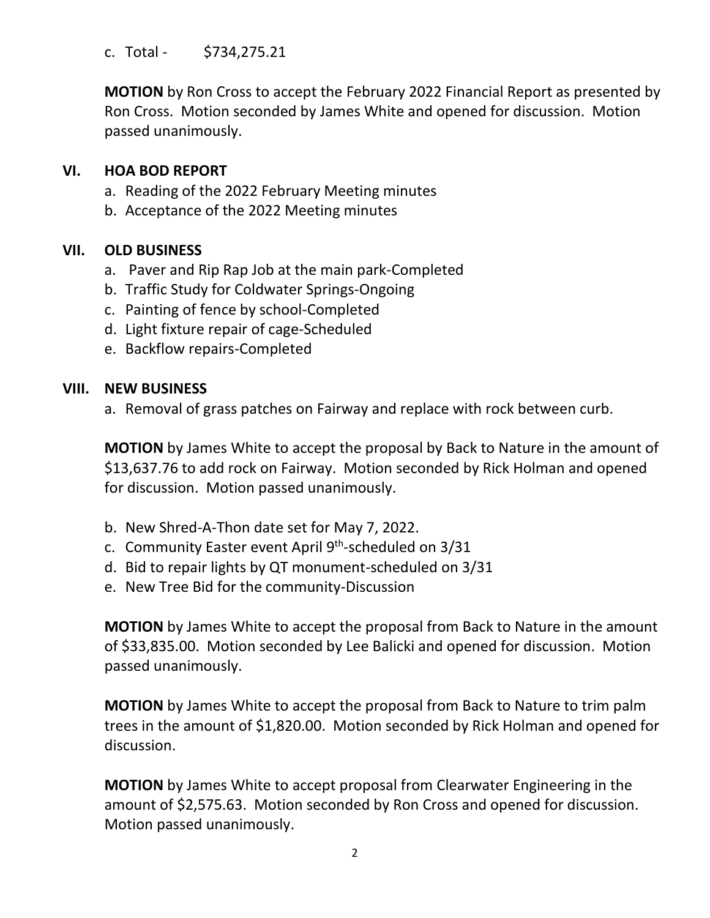c. Total - \$734,275.21

**MOTION** by Ron Cross to accept the February 2022 Financial Report as presented by Ron Cross. Motion seconded by James White and opened for discussion. Motion passed unanimously.

# **VI. HOA BOD REPORT**

- a. Reading of the 2022 February Meeting minutes
- b. Acceptance of the 2022 Meeting minutes

## **VII. OLD BUSINESS**

- a. Paver and Rip Rap Job at the main park-Completed
- b. Traffic Study for Coldwater Springs-Ongoing
- c. Painting of fence by school-Completed
- d. Light fixture repair of cage-Scheduled
- e. Backflow repairs-Completed

#### **VIII. NEW BUSINESS**

a. Removal of grass patches on Fairway and replace with rock between curb.

**MOTION** by James White to accept the proposal by Back to Nature in the amount of \$13,637.76 to add rock on Fairway. Motion seconded by Rick Holman and opened for discussion. Motion passed unanimously.

- b. New Shred-A-Thon date set for May 7, 2022.
- c. Community Easter event April 9<sup>th</sup>-scheduled on 3/31
- d. Bid to repair lights by QT monument-scheduled on 3/31
- e. New Tree Bid for the community-Discussion

**MOTION** by James White to accept the proposal from Back to Nature in the amount of \$33,835.00. Motion seconded by Lee Balicki and opened for discussion. Motion passed unanimously.

**MOTION** by James White to accept the proposal from Back to Nature to trim palm trees in the amount of \$1,820.00. Motion seconded by Rick Holman and opened for discussion.

**MOTION** by James White to accept proposal from Clearwater Engineering in the amount of \$2,575.63. Motion seconded by Ron Cross and opened for discussion. Motion passed unanimously.